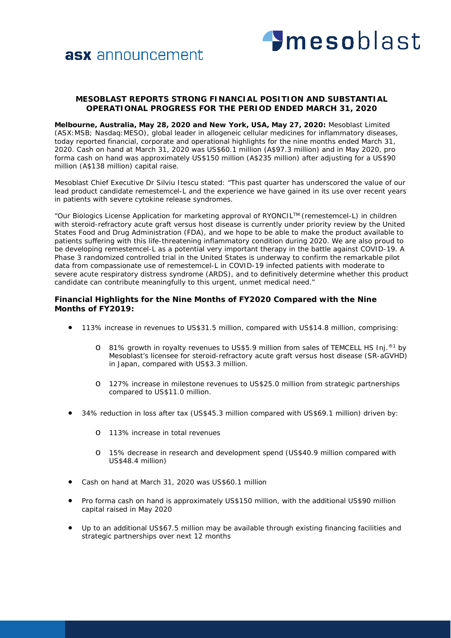



# **MESOBLAST REPORTS STRONG FINANCIAL POSITION AND SUBSTANTIAL OPERATIONAL PROGRESS FOR THE PERIOD ENDED MARCH 31, 2020**

**Melbourne, Australia, May 28, 2020 and New York, USA, May 27, 2020:** Mesoblast Limited (ASX:MSB; Nasdaq:MESO), global leader in allogeneic cellular medicines for inflammatory diseases, today reported financial, corporate and operational highlights for the nine months ended March 31, 2020. Cash on hand at March 31, 2020 was US\$60.1 million (A\$97.3 million) and in May 2020, pro forma cash on hand was approximately US\$150 million (A\$235 million) after adjusting for a US\$90 million (A\$138 million) capital raise.

Mesoblast Chief Executive Dr Silviu Itescu stated: "This past quarter has underscored the value of our lead product candidate remestemcel-L and the experience we have gained in its use over recent years in patients with severe cytokine release syndromes.

"Our Biologics License Application for marketing approval of RYONCILTM (remestemcel-L) in children with steroid-refractory acute graft versus host disease is currently under priority review by the United States Food and Drug Administration (FDA), and we hope to be able to make the product available to patients suffering with this life-threatening inflammatory condition during 2020. We are also proud to be developing remestemcel-L as a potential very important therapy in the battle against COVID-19. A Phase 3 randomized controlled trial in the United States is underway to confirm the remarkable pilot data from compassionate use of remestemcel-L in COVID-19 infected patients with moderate to severe acute respiratory distress syndrome (ARDS), and to definitively determine whether this product candidate can contribute meaningfully to this urgent, unmet medical need."

## **Financial Highlights for the Nine Months of FY2020 Compared with the Nine Months of FY2019:**

- 113% increase in revenues to US\$31.5 million, compared with US\$14.8 million, comprising:
	- o 81% growth in royalty revenues to US\$5.9 million from sales of TEMCELL HS Inj.®1 by Mesoblast's licensee for steroid-refractory acute graft versus host disease (SR-aGVHD) in Japan, compared with US\$3.3 million.
	- o 127% increase in milestone revenues to US\$25.0 million from strategic partnerships compared to US\$11.0 million.
- 34% reduction in loss after tax (US\$45.3 million compared with US\$69.1 million) driven by:
	- o 113% increase in total revenues
	- o 15% decrease in research and development spend (US\$40.9 million compared with US\$48.4 million)
- Cash on hand at March 31, 2020 was US\$60.1 million
- Pro forma cash on hand is approximately US\$150 million, with the additional US\$90 million capital raised in May 2020
- Up to an additional US\$67.5 million may be available through existing financing facilities and strategic partnerships over next 12 months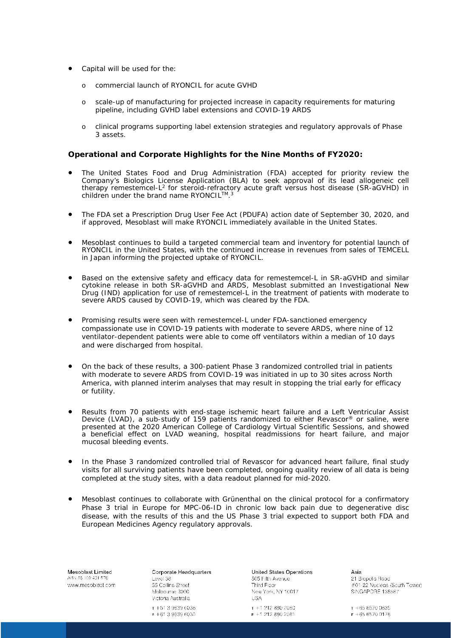- Capital will be used for the:
	- o commercial launch of RYONCIL for acute GVHD
	- o scale-up of manufacturing for projected increase in capacity requirements for maturing pipeline, including GVHD label extensions and COVID-19 ARDS
	- o clinical programs supporting label extension strategies and regulatory approvals of Phase 3 assets.

# **Operational and Corporate Highlights for the Nine Months of FY2020:**

- The United States Food and Drug Administration (FDA) accepted for priority review the Company's Biologics License Application (BLA) to seek approval of its lead allogeneic cell therapy remestemcel- $L^2$  for steroid-refractory acute graft versus host disease (SR-aGVHD) in children under the brand name RYONCIL<sup>™.3</sup>
- The FDA set a Prescription Drug User Fee Act (PDUFA) action date of September 30, 2020, and if approved, Mesoblast will make RYONCIL immediately available in the United States.
- Mesoblast continues to build a targeted commercial team and inventory for potential launch of RYONCIL in the United States, with the continued increase in revenues from sales of TEMCELL in Japan informing the projected uptake of RYONCIL.
- Based on the extensive safety and efficacy data for remestemcel-L in SR-aGVHD and similar cytokine release in both SR-aGVHD and ARDS, Mesoblast submitted an Investigational New Drug (IND) application for use of remestemcel-L in the treatment of patients with moderate to severe ARDS caused by COVID-19, which was cleared by the FDA.
- Promising results were seen with remestemcel-L under FDA-sanctioned emergency compassionate use in COVID-19 patients with moderate to severe ARDS, where nine of 12 ventilator-dependent patients were able to come off ventilators within a median of 10 days and were discharged from hospital.
- On the back of these results, a 300-patient Phase 3 randomized controlled trial in patients with moderate to severe ARDS from COVID-19 was initiated in up to 30 sites across North America, with planned interim analyses that may result in stopping the trial early for efficacy or futility.
- Results from 70 patients with end-stage ischemic heart failure and a Left Ventricular Assist Device (LVAD), a sub-study of 159 patients randomized to either Revascor<sup>®</sup> or saline, were presented at the 2020 American College of Cardiology Virtual Scientific Sessions, and showed a beneficial effect on LVAD weaning, hospital readmissions for heart failure, and major mucosal bleeding events.
- In the Phase 3 randomized controlled trial of Revascor for advanced heart failure, final study visits for all surviving patients have been completed, ongoing quality review of all data is being completed at the study sites, with a data readout planned for mid-2020.
- Mesoblast continues to collaborate with Grünenthal on the clinical protocol for a confirmatory Phase 3 trial in Europe for MPC-06-ID in chronic low back pain due to degenerative disc disease, with the results of this and the US Phase 3 trial expected to support both FDA and European Medicines Agency regulatory approvals.

Mesoblast Limited ABN 68 109 431 870 www.mesoblast.com Corporate Headquarters Level 38 55 Collins Street

Melbourne 3000 Victoria Australia  $T + 61.396396036$  $F + 61396396030$ 

United States Operations 505 Fifth Avenue Third Floor New York, NY 10017 **USA** 

 $\tau$  +1 212 880 2060  $F + 12128802061$ 

Asia 21 Biopolis Road #01-22 Nucleos (South Tower) SINGAPORE 138567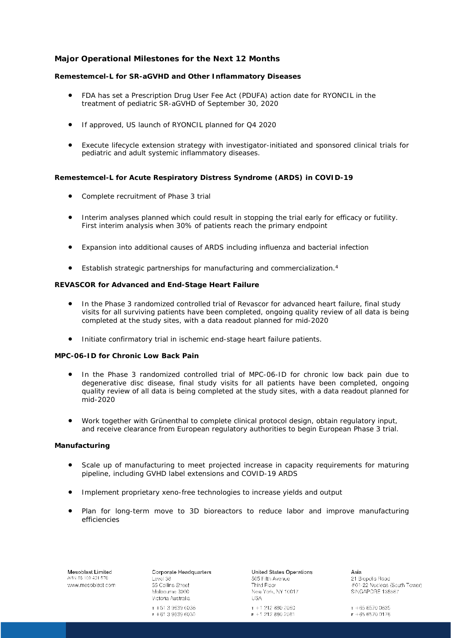# **Major Operational Milestones for the Next 12 Months**

## **Remestemcel-L for SR-aGVHD and Other Inflammatory Diseases**

- FDA has set a Prescription Drug User Fee Act (PDUFA) action date for RYONCIL in the treatment of pediatric SR-aGVHD of September 30, 2020
- If approved, US launch of RYONCIL planned for Q4 2020
- Execute lifecycle extension strategy with investigator-initiated and sponsored clinical trials for pediatric and adult systemic inflammatory diseases.

## **Remestemcel-L for Acute Respiratory Distress Syndrome (ARDS) in COVID-19**

- Complete recruitment of Phase 3 trial
- Interim analyses planned which could result in stopping the trial early for efficacy or futility. First interim analysis when 30% of patients reach the primary endpoint
- Expansion into additional causes of ARDS including influenza and bacterial infection
- Establish strategic partnerships for manufacturing and commercialization.<sup>4</sup>

## **REVASCOR for Advanced and End-Stage Heart Failure**

- In the Phase 3 randomized controlled trial of Revascor for advanced heart failure, final study visits for all surviving patients have been completed, ongoing quality review of all data is being completed at the study sites, with a data readout planned for mid-2020
- Initiate confirmatory trial in ischemic end-stage heart failure patients.

## **MPC-06-ID for Chronic Low Back Pain**

- In the Phase 3 randomized controlled trial of MPC-06-ID for chronic low back pain due to degenerative disc disease, final study visits for all patients have been completed, ongoing quality review of all data is being completed at the study sites, with a data readout planned for mid-2020
- Work together with Grünenthal to complete clinical protocol design, obtain regulatory input, and receive clearance from European regulatory authorities to begin European Phase 3 trial.

## **Manufacturing**

- Scale up of manufacturing to meet projected increase in capacity requirements for maturing pipeline, including GVHD label extensions and COVID-19 ARDS
- Implement proprietary xeno-free technologies to increase yields and output
- Plan for long-term move to 3D bioreactors to reduce labor and improve manufacturing efficiencies

Mesoblast Limited ARN 68 109 431 870 www.mesoblast.com Corporate Headquarters Level 38 55 Collins Street Melbourne 3000 Victoria Australia

 $T + 61.396396036$  $F + 61396396030$ 

United States Operations 505 Fifth Avenue Third Floor New York, NY 10017 **USA** 

 $t + 12128802060$ F +1 212 880 2061

Asia 21 Biopolis Road #01-22 Nucleos (South Tower) SINGAPORE 138567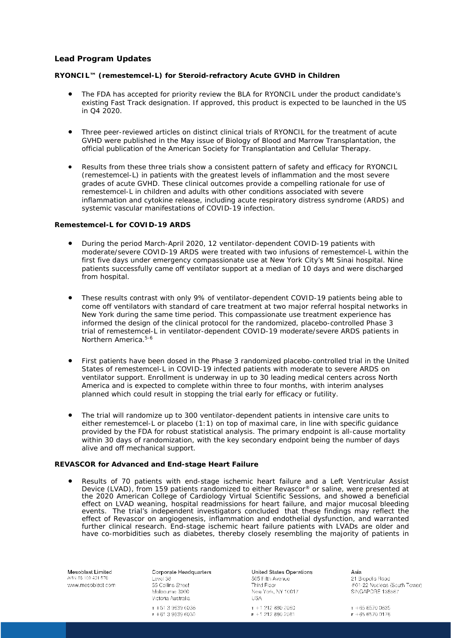# **Lead Program Updates**

# *RYONCIL™ (remestemcel-L) for Steroid-refractory Acute GVHD in Children*

- The FDA has accepted for priority review the BLA for RYONCIL under the product candidate's existing Fast Track designation. If approved, this product is expected to be launched in the US in Q4 2020.
- Three peer-reviewed articles on distinct clinical trials of RYONCIL for the treatment of acute GVHD were published in the May issue of Biology of Blood and Marrow Transplantation, the official publication of the American Society for Transplantation and Cellular Therapy.
- Results from these three trials show a consistent pattern of safety and efficacy for RYONCIL (remestemcel-L) in patients with the greatest levels of inflammation and the most severe grades of acute GVHD. These clinical outcomes provide a compelling rationale for use of remestemcel-L in children and adults with other conditions associated with severe inflammation and cytokine release, including acute respiratory distress syndrome (ARDS) and systemic vascular manifestations of COVID-19 infection.

#### *Remestemcel-L for COVID-19 ARDS*

- During the period March-April 2020, 12 ventilator-dependent COVID-19 patients with moderate/severe COVID-19 ARDS were treated with two infusions of remestemcel-L within the first five days under emergency compassionate use at New York City's Mt Sinai hospital. Nine patients successfully came off ventilator support at a median of 10 days and were discharged from hospital.
- These results contrast with only 9% of ventilator-dependent COVID-19 patients being able to come off ventilators with standard of care treatment at two major referral hospital networks in New York during the same time period. This compassionate use treatment experience has informed the design of the clinical protocol for the randomized, placebo-controlled Phase 3 trial of remestemcel-L in ventilator-dependent COVID-19 moderate/severe ARDS patients in Northern America.5-6
- First patients have been dosed in the Phase 3 randomized placebo-controlled trial in the United States of remestemcel-L in COVID-19 infected patients with moderate to severe ARDS on ventilator support. Enrollment is underway in up to 30 leading medical centers across North America and is expected to complete within three to four months, with interim analyses planned which could result in stopping the trial early for efficacy or futility.
- The trial will randomize up to 300 ventilator-dependent patients in intensive care units to either remestemcel-L or placebo (1:1) on top of maximal care, in line with specific guidance provided by the FDA for robust statistical analysis. The primary endpoint is all-cause mortality within 30 days of randomization, with the key secondary endpoint being the number of days alive and off mechanical support.

#### *REVASCOR for Advanced and End-stage Heart Failure*

• Results of 70 patients with end-stage ischemic heart failure and a Left Ventricular Assist Device (LVAD), from 159 patients randomized to either Revascor® or saline, were presented at the 2020 American College of Cardiology Virtual Scientific Sessions, and showed a beneficial effect on LVAD weaning, hospital readmissions for heart failure, and major mucosal bleeding events. The trial's independent investigators concluded that these findings may reflect the effect of Revascor on angiogenesis, inflammation and endothelial dysfunction, and warranted further clinical research. End-stage ischemic heart failure patients with LVADs are older and have co-morbidities such as diabetes, thereby closely resembling the majority of patients in

Mesoblast Limited ARN 68 109 431 870 www.mesoblast.com Corporate Headquarters Level 38 55 Collins Street Melbourne 3000

Victoria Australia  $T + 61.396396036$  $F + 61396396030$ 

United States Operations 505 Fifth Avenue Third Floor New York, NY 10017 **USA** 

 $\tau$  +1 212 880 2060 F +1 212 880 2061

Asia 21 Biopolis Road #01-22 Nucleos (South Tower) SINGAPORE 138567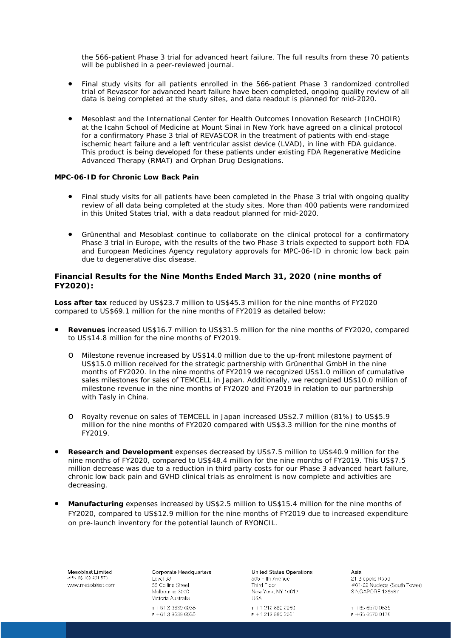the 566-patient Phase 3 trial for advanced heart failure. The full results from these 70 patients will be published in a peer-reviewed journal.

- Final study visits for all patients enrolled in the 566-patient Phase 3 randomized controlled trial of Revascor for advanced heart failure have been completed, ongoing quality review of all data is being completed at the study sites, and data readout is planned for mid-2020.
- Mesoblast and the International Center for Health Outcomes Innovation Research (InCHOIR) at the Icahn School of Medicine at Mount Sinai in New York have agreed on a clinical protocol for a confirmatory Phase 3 trial of REVASCOR in the treatment of patients with end-stage ischemic heart failure and a left ventricular assist device (LVAD), in line with FDA guidance. This product is being developed for these patients under existing FDA Regenerative Medicine Advanced Therapy (RMAT) and Orphan Drug Designations.

#### *MPC-06-ID for Chronic Low Back Pain*

- Final study visits for all patients have been completed in the Phase 3 trial with ongoing quality review of all data being completed at the study sites. More than 400 patients were randomized in this United States trial, with a data readout planned for mid-2020.
- Grünenthal and Mesoblast continue to collaborate on the clinical protocol for a confirmatory Phase 3 trial in Europe, with the results of the two Phase 3 trials expected to support both FDA and European Medicines Agency regulatory approvals for MPC-06-ID in chronic low back pain due to degenerative disc disease.

## **Financial Results for the Nine Months Ended March 31, 2020 (nine months of FY2020):**

**Loss after tax** reduced by US\$23.7 million to US\$45.3 million for the nine months of FY2020 compared to US\$69.1 million for the nine months of FY2019 as detailed below:

- **Revenues** increased US\$16.7 million to US\$31.5 million for the nine months of FY2020, compared to US\$14.8 million for the nine months of FY2019.
	- o Milestone revenue increased by US\$14.0 million due to the up-front milestone payment of US\$15.0 million received for the strategic partnership with Grünenthal GmbH in the nine months of FY2020. In the nine months of FY2019 we recognized US\$1.0 million of cumulative sales milestones for sales of TEMCELL in Japan. Additionally, we recognized US\$10.0 million of milestone revenue in the nine months of FY2020 and FY2019 in relation to our partnership with Tasly in China.
	- o Royalty revenue on sales of TEMCELL in Japan increased US\$2.7 million (81%) to US\$5.9 million for the nine months of FY2020 compared with US\$3.3 million for the nine months of FY2019.
- **Research and Development** expenses decreased by US\$7.5 million to US\$40.9 million for the nine months of FY2020, compared to US\$48.4 million for the nine months of FY2019. This US\$7.5 million decrease was due to a reduction in third party costs for our Phase 3 advanced heart failure, chronic low back pain and GVHD clinical trials as enrolment is now complete and activities are decreasing.
- **Manufacturing** expenses increased by US\$2.5 million to US\$15.4 million for the nine months of FY2020, compared to US\$12.9 million for the nine months of FY2019 due to increased expenditure on pre-launch inventory for the potential launch of RYONCIL.

Mesoblast Limited ARN 68 109 431 870 www.mesoblast.com

Corporate Headquarters Level 38 55 Collins Street

Melbourne 3000 Victoria Australia  $T + 61.396396036$  $F + 61396396030$ 

United States Operations 505 Fifth Avenue Third Floor New York, NY 10017 **USA** 

 $t + 12128802060$ F +1 212 880 2061

Asia 21 Biopolis Road #01-22 Nucleos (South Tower) SINGAPORE 138567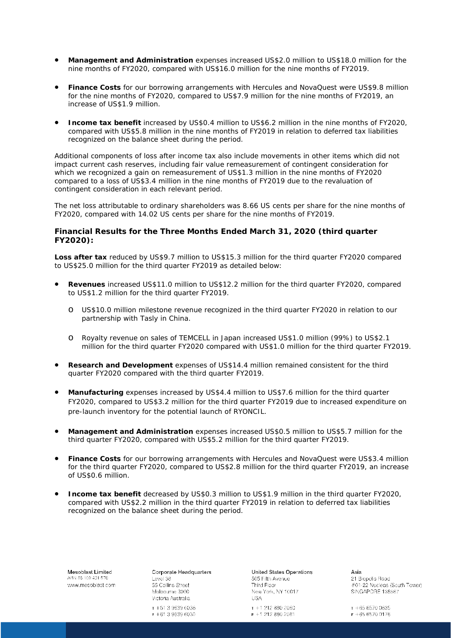- **Management and Administration** expenses increased US\$2.0 million to US\$18.0 million for the nine months of FY2020, compared with US\$16.0 million for the nine months of FY2019.
- **Finance Costs** for our borrowing arrangements with Hercules and NovaQuest were US\$9.8 million for the nine months of FY2020, compared to US\$7.9 million for the nine months of FY2019, an increase of US\$1.9 million.
- **Income tax benefit** increased by US\$0.4 million to US\$6.2 million in the nine months of FY2020, compared with US\$5.8 million in the nine months of FY2019 in relation to deferred tax liabilities recognized on the balance sheet during the period.

Additional components of loss after income tax also include movements in other items which did not impact current cash reserves, including fair value remeasurement of contingent consideration for which we recognized a gain on remeasurement of US\$1.3 million in the nine months of FY2020 compared to a loss of US\$3.4 million in the nine months of FY2019 due to the revaluation of contingent consideration in each relevant period.

The net loss attributable to ordinary shareholders was 8.66 US cents per share for the nine months of FY2020, compared with 14.02 US cents per share for the nine months of FY2019.

## **Financial Results for the Three Months Ended March 31, 2020 (third quarter FY2020):**

Loss after tax reduced by US\$9.7 million to US\$15.3 million for the third quarter FY2020 compared to US\$25.0 million for the third quarter FY2019 as detailed below:

- **Revenues** increased US\$11.0 million to US\$12.2 million for the third quarter FY2020, compared to US\$1.2 million for the third quarter FY2019.
	- o US\$10.0 million milestone revenue recognized in the third quarter FY2020 in relation to our partnership with Tasly in China.
	- o Royalty revenue on sales of TEMCELL in Japan increased US\$1.0 million (99%) to US\$2.1 million for the third quarter FY2020 compared with US\$1.0 million for the third quarter FY2019.
- **Research and Development** expenses of US\$14.4 million remained consistent for the third quarter FY2020 compared with the third quarter FY2019.
- **Manufacturing** expenses increased by US\$4.4 million to US\$7.6 million for the third quarter FY2020, compared to US\$3.2 million for the third quarter FY2019 due to increased expenditure on pre-launch inventory for the potential launch of RYONCIL.
- **Management and Administration** expenses increased US\$0.5 million to US\$5.7 million for the third quarter FY2020, compared with US\$5.2 million for the third quarter FY2019.
- **Finance Costs** for our borrowing arrangements with Hercules and NovaQuest were US\$3.4 million for the third quarter FY2020, compared to US\$2.8 million for the third quarter FY2019, an increase of US\$0.6 million.
- **Income tax benefit** decreased by US\$0.3 million to US\$1.9 million in the third quarter FY2020, compared with US\$2.2 million in the third quarter FY2019 in relation to deferred tax liabilities recognized on the balance sheet during the period.

Mesoblast Limited ARN 68 109 431 870 www.mesoblast.com

Corporate Headquarters Level 38 55 Collins Street Melbourne 3000

Victoria Australia  $T + 61.396396036$  $F + 61396396030$ 

United States Operations 505 Fifth Avenue Third Floor New York, NY 10017 **USA** 

 $t + 12128802060$ F +1 212 880 2061

Asia 21 Biopolis Road #01-22 Nucleos (South Tower) SINGAPORE 138567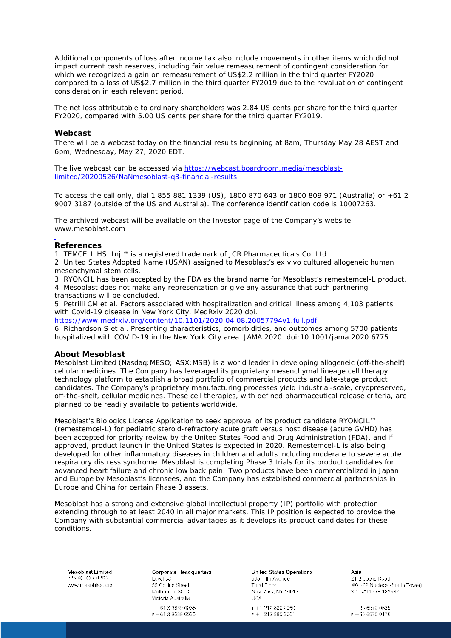Additional components of loss after income tax also include movements in other items which did not impact current cash reserves, including fair value remeasurement of contingent consideration for which we recognized a gain on remeasurement of US\$2.2 million in the third quarter FY2020 compared to a loss of US\$2.7 million in the third quarter FY2019 due to the revaluation of contingent consideration in each relevant period.

The net loss attributable to ordinary shareholders was 2.84 US cents per share for the third quarter FY2020, compared with 5.00 US cents per share for the third quarter FY2019.

#### **Webcast**

There will be a webcast today on the financial results beginning at 8am, Thursday May 28 AEST and 6pm, Wednesday, May 27, 2020 EDT.

The live webcast can be accessed via [https://webcast.boardroom.media/mesoblast](https://webcast.boardroom.media/mesoblast-limited/20200526/NaNmesoblast-q3-financial-results)[limited/20200526/NaNmesoblast-q3-financial-results](https://webcast.boardroom.media/mesoblast-limited/20200526/NaNmesoblast-q3-financial-results)

To access the call only, dial 1 855 881 1339 (US), 1800 870 643 or 1800 809 971 (Australia) or +61 2 9007 3187 (outside of the US and Australia). The conference identification code is 10007263.

The archived webcast will be available on the Investor page of the Company's website www.mesoblast.com

## **References**

1. TEMCELL HS. Inj.® is a registered trademark of JCR Pharmaceuticals Co. Ltd.

2. United States Adopted Name (USAN) assigned to Mesoblast's *ex vivo* cultured allogeneic human mesenchymal stem cells.

3. RYONCIL has been accepted by the FDA as the brand name for Mesoblast's remestemcel-L product.

4. Mesoblast does not make any representation or give any assurance that such partnering transactions will be concluded.

5. Petrilli CM et al. Factors associated with hospitalization and critical illness among 4,103 patients with Covid-19 disease in New York City. MedRxiv 2020 doi.

<https://www.medrxiv.org/content/10.1101/2020.04.08.20057794v1.full.pdf>

6. Richardson S et al. Presenting characteristics, comorbidities, and outcomes among 5700 patients hospitalized with COVID-19 in the New York City area. JAMA 2020. doi:10.1001/jama.2020.6775.

## **About Mesoblast**

Mesoblast Limited (Nasdaq:MESO; ASX:MSB) is a world leader in developing allogeneic (off-the-shelf) cellular medicines. The Company has leveraged its proprietary mesenchymal lineage cell therapy technology platform to establish a broad portfolio of commercial products and late-stage product candidates. The Company's proprietary manufacturing processes yield industrial-scale, cryopreserved, off-the-shelf, cellular medicines. These cell therapies, with defined pharmaceutical release criteria, are planned to be readily available to patients worldwide.

Mesoblast's Biologics License Application to seek approval of its product candidate RYONCIL™ (remestemcel-L) for pediatric steroid-refractory acute graft versus host disease (acute GVHD) has been accepted for priority review by the United States Food and Drug Administration (FDA), and if approved, product launch in the United States is expected in 2020. Remestemcel-L is also being developed for other inflammatory diseases in children and adults including moderate to severe acute respiratory distress syndrome. Mesoblast is completing Phase 3 trials for its product candidates for advanced heart failure and chronic low back pain. Two products have been commercialized in Japan and Europe by Mesoblast's licensees, and the Company has established commercial partnerships in Europe and China for certain Phase 3 assets.

Mesoblast has a strong and extensive global intellectual property (IP) portfolio with protection extending through to at least 2040 in all major markets. This IP position is expected to provide the Company with substantial commercial advantages as it develops its product candidates for these conditions.

Mesoblast Limited ABN 68 109 431 870 www.mesoblast.com Corporate Headquarters Level 38 55 Collins Street

Melbourne 3000 Victoria Australia  $T + 61.396396036$ 

 $F + 61396396030$ 

United States Operations 505 Fifth Avenue Third Floor New York, NY 10017

**USA**  $\tau$  +1 212 880 2060 F +1 212 880 2061

Asia 21 Biopolis Road #01-22 Nucleos (South Tower) SINGAPORE 138567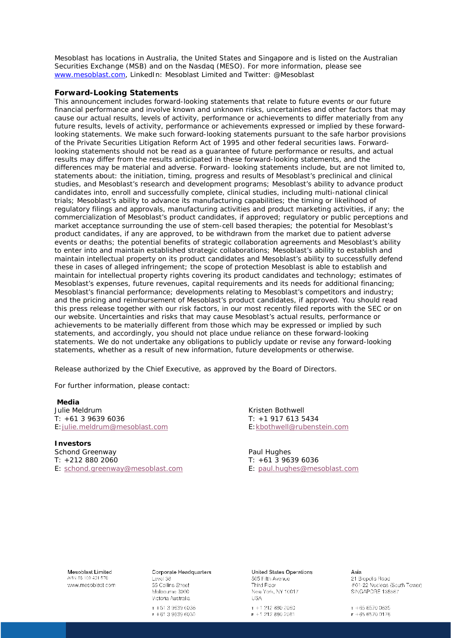Mesoblast has locations in Australia, the United States and Singapore and is listed on the Australian Securities Exchange (MSB) and on the Nasdaq (MESO). For more information, please see [www.mesoblast.com,](http://www.mesoblast.com/) LinkedIn: Mesoblast Limited and Twitter: @Mesoblast

#### **Forward-Looking Statements**

This announcement includes forward-looking statements that relate to future events or our future financial performance and involve known and unknown risks, uncertainties and other factors that may cause our actual results, levels of activity, performance or achievements to differ materially from any future results, levels of activity, performance or achievements expressed or implied by these forwardlooking statements. We make such forward-looking statements pursuant to the safe harbor provisions of the Private Securities Litigation Reform Act of 1995 and other federal securities laws. Forwardlooking statements should not be read as a guarantee of future performance or results, and actual results may differ from the results anticipated in these forward-looking statements, and the differences may be material and adverse. Forward- looking statements include, but are not limited to, statements about: the initiation, timing, progress and results of Mesoblast's preclinical and clinical studies, and Mesoblast's research and development programs; Mesoblast's ability to advance product candidates into, enroll and successfully complete, clinical studies, including multi-national clinical trials; Mesoblast's ability to advance its manufacturing capabilities; the timing or likelihood of regulatory filings and approvals, manufacturing activities and product marketing activities, if any; the commercialization of Mesoblast's product candidates, if approved; regulatory or public perceptions and market acceptance surrounding the use of stem-cell based therapies; the potential for Mesoblast's product candidates, if any are approved, to be withdrawn from the market due to patient adverse events or deaths; the potential benefits of strategic collaboration agreements and Mesoblast's ability to enter into and maintain established strategic collaborations; Mesoblast's ability to establish and maintain intellectual property on its product candidates and Mesoblast's ability to successfully defend these in cases of alleged infringement; the scope of protection Mesoblast is able to establish and maintain for intellectual property rights covering its product candidates and technology; estimates of Mesoblast's expenses, future revenues, capital requirements and its needs for additional financing; Mesoblast's financial performance; developments relating to Mesoblast's competitors and industry; and the pricing and reimbursement of Mesoblast's product candidates, if approved. You should read this press release together with our risk factors, in our most recently filed reports with the SEC or on our website. Uncertainties and risks that may cause Mesoblast's actual results, performance or achievements to be materially different from those which may be expressed or implied by such statements, and accordingly, you should not place undue reliance on these forward-looking statements. We do not undertake any obligations to publicly update or revise any forward-looking statements, whether as a result of new information, future developments or otherwise.

Release authorized by the Chief Executive, as approved by the Board of Directors.

*For further information, please contact:*

#### *Media*

Julie Meldrum T: +61 3 9639 6036 E[:julie.meldrum@mesoblast.com](mailto:julie.meldrum@mesoblast.com)

*Investors* Schond Greenway T: +212 880 2060 E: [schond.greenway@mesoblast.com](mailto:schond.greenway@mesoblast.com) Kristen Bothwell T: +1 917 613 5434 E[:kbothwell@rubenstein.com](mailto:kbothwell@rubenstein.com)

Paul Hughes T: +61 3 9639 6036 E: [paul.hughes@mesoblast.com](mailto:paul.hughes@mesoblast.com)

Mesoblast Limited ARN 68 109 431 870 www.mesoblast.com

Corporate Headquarters Level 38 55 Collins Street

Melbourne 3000 Victoria Australia  $T + 61, 3, 9639, 6036$ 

 $F + 61396396030$ 

United States Operations 505 Fifth Avenue Third Floor

New York, NY 10017 **USA** 

T +1 212 880 2060  $F + 12128802061$  Asia 21 Biopolis Road #01-22 Nucleos (South Tower) SINGAPORE 138567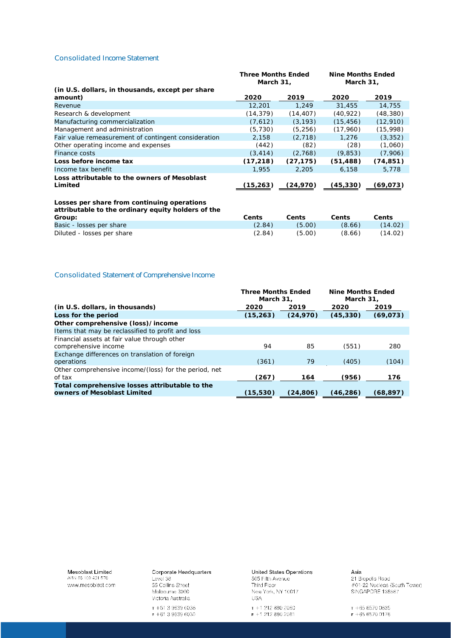#### **Consolidated Income Statement**

|                                                             | Three Months Ended<br>March 31, |           | <b>Nine Months Ended</b><br>March 31, |           |
|-------------------------------------------------------------|---------------------------------|-----------|---------------------------------------|-----------|
| (in U.S. dollars, in thousands, except per share<br>amount) | 2020                            | 2019      | 2020                                  | 2019      |
| Revenue                                                     | 12,201                          | 1.249     | 31,455                                | 14,755    |
| Research & development                                      | (14, 379)                       | (14, 407) | (40, 922)                             | (48, 380) |
| Manufacturing commercialization                             | (7,612)                         | (3, 193)  | (15.456)                              | (12,910)  |
| Management and administration                               | (5,730)                         | (5,256)   | (17,960)                              | (15,998)  |
| Fair value remeasurement of contingent consideration        | 2,158                           | (2,718)   | 1,276                                 | (3,352)   |
| Other operating income and expenses                         | (442)                           | (82)      | (28)                                  | (1,060)   |
| Finance costs                                               | (3, 414)                        | (2,768)   | (9,853)                               | (7,906)   |
| Loss before income tax                                      | (17, 218)                       | (27,175)  | (51,488)                              | (74,851)  |
| Income tax benefit                                          | 1,955                           | 2,205     | 6,158                                 | 5,778     |
| Loss attributable to the owners of Mesoblast<br>Limited     | (15,263)                        | (24,970)  | (45,330)                              | (69,073)  |

# Losses per share from continuing operations attributable to the ordinary equity holders of the<br>Group:

| <b>Group:</b>              | Cents  | Cents  | Cents  | Cents   |
|----------------------------|--------|--------|--------|---------|
| Basic - losses per share   | (2.84) | (5.00) | (8.66) | (14.02) |
| Diluted - losses per share | (2.84) | (5.00) | (8.66) | (14.02) |

#### **Consolidated Statement of Comprehensive Income**

|                                                                               | <b>Three Months Ended</b><br>March 31. |           | Nine Months Ended<br>March 31. |           |
|-------------------------------------------------------------------------------|----------------------------------------|-----------|--------------------------------|-----------|
| (in U.S. dollars, in thousands)                                               | 2020                                   | 2019      | 2020                           | 2019      |
| Loss for the period                                                           | (15, 263)                              | (24, 970) | (45, 330)                      | (69, 073) |
| Other comprehensive (loss)/income                                             |                                        |           |                                |           |
| Items that may be reclassified to profit and loss                             |                                        |           |                                |           |
| Financial assets at fair value through other<br>comprehensive income          | 94                                     | 85        | (551)                          | 280       |
| Exchange differences on translation of foreign<br>operations                  | (361)                                  | 79        | (405)                          | (104)     |
| Other comprehensive income/(loss) for the period, net<br>of tax               | (267)                                  | 164       | (956)                          | 176       |
| Total comprehensive losses attributable to the<br>owners of Mesoblast Limited | (15,530)                               | (24,806)  | (46,286)                       | (68,897)  |

Mesoblast Limited ABN 68 109 431 870 www.mesoblast.com Corporate Headquarters

Level 38<br>55 Collins Street Melbourne 3000 Victoria Australia

 $t + 61396396036$  $F + 61396396030$ 

#### United States Operations

505 Fifth Avenue Third Floor New York, NY 10017 **USA** 

T +1 212 880 2060<br>F +1 212 880 2061

Asia 21 Biopolis Road

#01-22 Nucleos (South Tower) SINGAPORE 138567

 $\scriptstyle\rm T$  +65 6570 0635  $\,$  F +65 6570 0176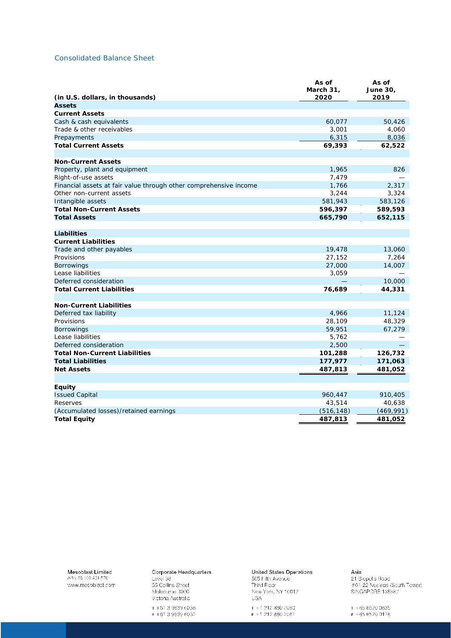## **Consolidated Balance Sheet**

|                                                                   | As of<br>March 31,<br>2020 | As of<br>June 30,<br>2019 |
|-------------------------------------------------------------------|----------------------------|---------------------------|
| (in U.S. dollars, in thousands)<br><b>Assets</b>                  |                            |                           |
| <b>Current Assets</b>                                             |                            |                           |
| Cash & cash equivalents                                           | 60,077                     | 50,426                    |
| Trade & other receivables                                         | 3,001                      | 4,060                     |
| Prepayments                                                       | 6,315                      | 8,036                     |
| <b>Total Current Assets</b>                                       | 69,393                     | 62,522                    |
| <b>Non-Current Assets</b>                                         |                            |                           |
| Property, plant and equipment                                     | 1,965                      | 826                       |
| Right-of-use assets                                               | 7,479                      |                           |
| Financial assets at fair value through other comprehensive income | 1,766                      | 2,317                     |
| Other non-current assets                                          | 3,244                      | 3,324                     |
| Intangible assets                                                 | 581,943                    | 583,126                   |
| <b>Total Non-Current Assets</b>                                   | 596,397                    | 589,593                   |
| <b>Total Assets</b>                                               | 665,790                    | 652,115                   |
| Liabilities                                                       |                            |                           |
| <b>Current Liabilities</b>                                        |                            |                           |
| Trade and other payables                                          | 19,478                     | 13,060                    |
| Provisions                                                        | 27,152                     | 7,264                     |
| <b>Borrowings</b>                                                 | 27,000                     | 14,007                    |
| Lease liabilities                                                 | 3,059                      |                           |
| Deferred consideration                                            |                            | 10,000                    |
| <b>Total Current Liabilities</b>                                  | 76,689                     | 44,331                    |
|                                                                   |                            |                           |
| <b>Non-Current Liabilities</b>                                    |                            |                           |
| Deferred tax liability                                            | 4,966                      | 11,124                    |
| Provisions                                                        | 28,109                     | 48,329                    |
| <b>Borrowings</b>                                                 | 59,951                     | 67,279                    |
| Lease liabilities                                                 | 5,762                      |                           |
| Deferred consideration                                            | 2,500                      |                           |
| <b>Total Non-Current Liabilities</b>                              | 101,288                    | 126,732                   |
| <b>Total Liabilities</b>                                          | 177,977                    | 171,063                   |
| <b>Net Assets</b>                                                 | 487,813                    | 481,052                   |
|                                                                   |                            |                           |
| Equity                                                            |                            |                           |
| <b>Issued Capital</b>                                             | 960,447                    | 910,405                   |
| Reserves                                                          | 43,514                     | 40,638                    |
| (Accumulated losses)/retained earnings                            | (516, 148)                 | (469, 991)                |
| <b>Total Equity</b>                                               | 487,813                    | 481,052                   |

Mesoblast Limited ABN 68 109 431 870 www.mesoblast.com Corporate Headquarters<br>Level 38<br>55 Collins Street

Melbourne 3000 Victoria Australia

т +61 3 9639 6036<br>**ғ** +61 3 9639 6030

#### United States Operations

505 Fifth Avenue Third Floor New York, NY 10017 **USA** 

T +1 212 880 2060<br>F +1 212 880 2061

Asia

21 Biopolis Road 21 Biopolis Toda<br>#01-22 Nucleos (South Tower)<br>SINGAPORE 138567

 $\frac{17}{5} + 6565700635$ <br>F + 6565700176